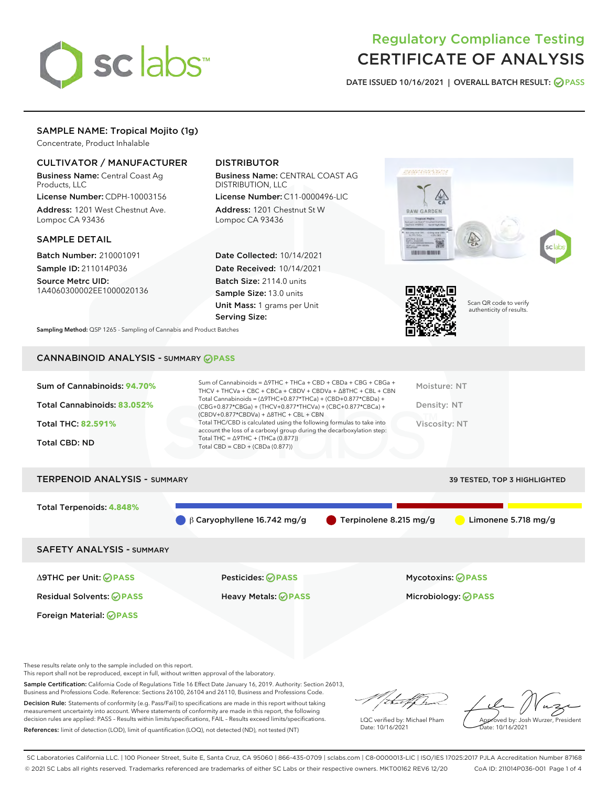

# Regulatory Compliance Testing CERTIFICATE OF ANALYSIS

DATE ISSUED 10/16/2021 | OVERALL BATCH RESULT: @ PASS

# SAMPLE NAME: Tropical Mojito (1g)

Concentrate, Product Inhalable

# CULTIVATOR / MANUFACTURER

Business Name: Central Coast Ag Products, LLC

License Number: CDPH-10003156 Address: 1201 West Chestnut Ave. Lompoc CA 93436

## SAMPLE DETAIL

Batch Number: 210001091 Sample ID: 211014P036

Source Metrc UID: 1A4060300002EE1000020136

# DISTRIBUTOR

Business Name: CENTRAL COAST AG DISTRIBUTION, LLC

License Number: C11-0000496-LIC Address: 1201 Chestnut St W Lompoc CA 93436

Date Collected: 10/14/2021 Date Received: 10/14/2021 Batch Size: 2114.0 units Sample Size: 13.0 units Unit Mass: 1 grams per Unit Serving Size:





Scan QR code to verify authenticity of results.

Sampling Method: QSP 1265 - Sampling of Cannabis and Product Batches

# CANNABINOID ANALYSIS - SUMMARY **PASS**

| Sum of Cannabinoids: 94.70% | Sum of Cannabinoids = $\triangle$ 9THC + THCa + CBD + CBDa + CBG + CBGa +<br>THCV + THCVa + CBC + CBCa + CBDV + CBDVa + $\Delta$ 8THC + CBL + CBN                                    | Moisture: NT  |
|-----------------------------|--------------------------------------------------------------------------------------------------------------------------------------------------------------------------------------|---------------|
| Total Cannabinoids: 83.052% | Total Cannabinoids = $(\Delta$ 9THC+0.877*THCa) + (CBD+0.877*CBDa) +<br>(CBG+0.877*CBGa) + (THCV+0.877*THCVa) + (CBC+0.877*CBCa) +<br>$(CBDV+0.877*CBDVa) + \Delta 8THC + CBL + CBN$ | Density: NT   |
| <b>Total THC: 82.591%</b>   | Total THC/CBD is calculated using the following formulas to take into<br>account the loss of a carboxyl group during the decarboxylation step:                                       | Viscosity: NT |
| Total CBD: ND               | Total THC = $\triangle$ 9THC + (THCa (0.877))<br>Total CBD = $CBD + (CBDa (0.877))$                                                                                                  |               |

| <b>TERPENOID ANALYSIS - SUMMARY</b> |                                   |                        | <b>39 TESTED, TOP 3 HIGHLIGHTED</b> |
|-------------------------------------|-----------------------------------|------------------------|-------------------------------------|
| Total Terpenoids: 4.848%            |                                   |                        |                                     |
|                                     | $\beta$ Caryophyllene 16.742 mg/g | Terpinolene 8.215 mg/g | Limonene 5.718 mg/g                 |
| <b>SAFETY ANALYSIS - SUMMARY</b>    |                                   |                        |                                     |
| ∆9THC per Unit: ⊘PASS               | <b>Pesticides: ⊘ PASS</b>         |                        | <b>Mycotoxins: ⊘PASS</b>            |

Foreign Material: **PASS**

Residual Solvents: **PASS** Heavy Metals: **PASS** Microbiology: **PASS**

These results relate only to the sample included on this report.

This report shall not be reproduced, except in full, without written approval of the laboratory.

Sample Certification: California Code of Regulations Title 16 Effect Date January 16, 2019. Authority: Section 26013, Business and Professions Code. Reference: Sections 26100, 26104 and 26110, Business and Professions Code.

Decision Rule: Statements of conformity (e.g. Pass/Fail) to specifications are made in this report without taking measurement uncertainty into account. Where statements of conformity are made in this report, the following decision rules are applied: PASS – Results within limits/specifications, FAIL – Results exceed limits/specifications. References: limit of detection (LOD), limit of quantification (LOQ), not detected (ND), not tested (NT)

that f h

LQC verified by: Michael Pham Date: 10/16/2021

Approved by: Josh Wurzer, President ate: 10/16/2021

SC Laboratories California LLC. | 100 Pioneer Street, Suite E, Santa Cruz, CA 95060 | 866-435-0709 | sclabs.com | C8-0000013-LIC | ISO/IES 17025:2017 PJLA Accreditation Number 87168 © 2021 SC Labs all rights reserved. Trademarks referenced are trademarks of either SC Labs or their respective owners. MKT00162 REV6 12/20 CoA ID: 211014P036-001 Page 1 of 4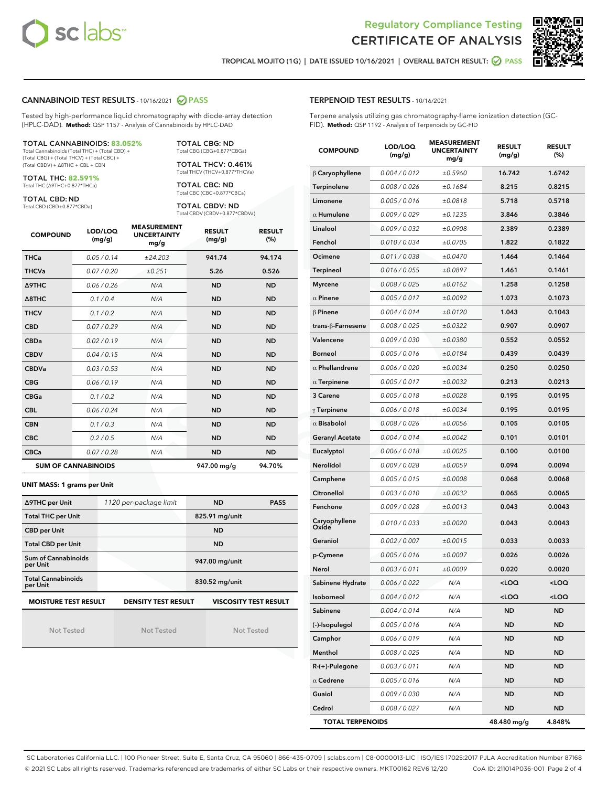



TROPICAL MOJITO (1G) | DATE ISSUED 10/16/2021 | OVERALL BATCH RESULT: **● PASS** 

### CANNABINOID TEST RESULTS - 10/16/2021 2 PASS

Tested by high-performance liquid chromatography with diode-array detection (HPLC-DAD). **Method:** QSP 1157 - Analysis of Cannabinoids by HPLC-DAD

#### TOTAL CANNABINOIDS: **83.052%**

Total Cannabinoids (Total THC) + (Total CBD) + (Total CBG) + (Total THCV) + (Total CBC) + (Total CBDV) + ∆8THC + CBL + CBN

TOTAL THC: **82.591%** Total THC (∆9THC+0.877\*THCa)

TOTAL CBD: ND

Total CBD (CBD+0.877\*CBDa)

TOTAL CBG: ND Total CBG (CBG+0.877\*CBGa)

TOTAL THCV: 0.461% Total THCV (THCV+0.877\*THCVa)

TOTAL CBC: ND Total CBC (CBC+0.877\*CBCa)

TOTAL CBDV: ND Total CBDV (CBDV+0.877\*CBDVa)

| <b>COMPOUND</b>  | LOD/LOQ<br>(mg/g)          | <b>MEASUREMENT</b><br><b>UNCERTAINTY</b><br>mg/g | <b>RESULT</b><br>(mg/g) | <b>RESULT</b><br>(%) |
|------------------|----------------------------|--------------------------------------------------|-------------------------|----------------------|
| <b>THCa</b>      | 0.05/0.14                  | ±24.203                                          | 941.74                  | 94.174               |
| <b>THCVa</b>     | 0.07/0.20                  | ±0.251                                           | 5.26                    | 0.526                |
| <b>A9THC</b>     | 0.06 / 0.26                | N/A                                              | <b>ND</b>               | <b>ND</b>            |
| $\triangle$ 8THC | 0.1/0.4                    | N/A                                              | <b>ND</b>               | <b>ND</b>            |
| <b>THCV</b>      | 0.1/0.2                    | N/A                                              | <b>ND</b>               | <b>ND</b>            |
| <b>CBD</b>       | 0.07/0.29                  | N/A                                              | <b>ND</b>               | <b>ND</b>            |
| <b>CBDa</b>      | 0.02/0.19                  | N/A                                              | <b>ND</b>               | <b>ND</b>            |
| <b>CBDV</b>      | 0.04 / 0.15                | N/A                                              | <b>ND</b>               | <b>ND</b>            |
| <b>CBDVa</b>     | 0.03/0.53                  | N/A                                              | <b>ND</b>               | <b>ND</b>            |
| <b>CBG</b>       | 0.06/0.19                  | N/A                                              | <b>ND</b>               | <b>ND</b>            |
| <b>CBGa</b>      | 0.1/0.2                    | N/A                                              | <b>ND</b>               | <b>ND</b>            |
| <b>CBL</b>       | 0.06 / 0.24                | N/A                                              | <b>ND</b>               | <b>ND</b>            |
| <b>CBN</b>       | 0.1/0.3                    | N/A                                              | <b>ND</b>               | <b>ND</b>            |
| <b>CBC</b>       | 0.2 / 0.5                  | N/A                                              | <b>ND</b>               | <b>ND</b>            |
| <b>CBCa</b>      | 0.07 / 0.28                | N/A                                              | <b>ND</b>               | <b>ND</b>            |
|                  | <b>SUM OF CANNABINOIDS</b> |                                                  | 947.00 mg/g             | 94.70%               |

#### **UNIT MASS: 1 grams per Unit**

| ∆9THC per Unit                        | 1120 per-package limit                                     | <b>ND</b>      | <b>PASS</b> |
|---------------------------------------|------------------------------------------------------------|----------------|-------------|
| <b>Total THC per Unit</b>             |                                                            | 825.91 mg/unit |             |
| <b>CBD</b> per Unit                   |                                                            | <b>ND</b>      |             |
| <b>Total CBD per Unit</b>             |                                                            | <b>ND</b>      |             |
| Sum of Cannabinoids<br>per Unit       |                                                            | 947.00 mg/unit |             |
| <b>Total Cannabinoids</b><br>per Unit |                                                            | 830.52 mg/unit |             |
| <b>MOISTURE TEST RESULT</b>           | <b>DENSITY TEST RESULT</b><br><b>VISCOSITY TEST RESULT</b> |                |             |

Not Tested

Not Tested

Not Tested

## TERPENOID TEST RESULTS - 10/16/2021

Terpene analysis utilizing gas chromatography-flame ionization detection (GC-FID). **Method:** QSP 1192 - Analysis of Terpenoids by GC-FID

| <b>COMPOUND</b>         | LOD/LOQ<br>(mg/g) | <b>MEASUREMENT</b><br><b>UNCERTAINTY</b><br>mg/g | <b>RESULT</b><br>(mg/g)                         | <b>RESULT</b><br>(%) |
|-------------------------|-------------------|--------------------------------------------------|-------------------------------------------------|----------------------|
| $\beta$ Caryophyllene   | 0.004 / 0.012     | ±0.5960                                          | 16.742                                          | 1.6742               |
| Terpinolene             | 0.008 / 0.026     | ±0.1684                                          | 8.215                                           | 0.8215               |
| Limonene                | 0.005 / 0.016     | ±0.0818                                          | 5.718                                           | 0.5718               |
| $\alpha$ Humulene       | 0.009 / 0.029     | ±0.1235                                          | 3.846                                           | 0.3846               |
| Linalool                | 0.009 / 0.032     | ±0.0908                                          | 2.389                                           | 0.2389               |
| Fenchol                 | 0.010 / 0.034     | ±0.0705                                          | 1.822                                           | 0.1822               |
| Ocimene                 | 0.011 / 0.038     | ±0.0470                                          | 1.464                                           | 0.1464               |
| Terpineol               | 0.016 / 0.055     | ±0.0897                                          | 1.461                                           | 0.1461               |
| <b>Myrcene</b>          | 0.008 / 0.025     | ±0.0162                                          | 1.258                                           | 0.1258               |
| $\alpha$ Pinene         | 0.005 / 0.017     | ±0.0092                                          | 1.073                                           | 0.1073               |
| $\beta$ Pinene          | 0.004 / 0.014     | ±0.0120                                          | 1.043                                           | 0.1043               |
| trans-ß-Farnesene       | 0.008 / 0.025     | ±0.0322                                          | 0.907                                           | 0.0907               |
| Valencene               | 0.009 / 0.030     | ±0.0380                                          | 0.552                                           | 0.0552               |
| <b>Borneol</b>          | 0.005 / 0.016     | ±0.0184                                          | 0.439                                           | 0.0439               |
| $\alpha$ Phellandrene   | 0.006 / 0.020     | ±0.0034                                          | 0.250                                           | 0.0250               |
| $\alpha$ Terpinene      | 0.005 / 0.017     | ±0.0032                                          | 0.213                                           | 0.0213               |
| 3 Carene                | 0.005 / 0.018     | ±0.0028                                          | 0.195                                           | 0.0195               |
| $\gamma$ Terpinene      | 0.006 / 0.018     | ±0.0034                                          | 0.195                                           | 0.0195               |
| $\alpha$ Bisabolol      | 0.008 / 0.026     | ±0.0056                                          | 0.105                                           | 0.0105               |
| <b>Geranyl Acetate</b>  | 0.004 / 0.014     | ±0.0042                                          | 0.101                                           | 0.0101               |
| Eucalyptol              | 0.006 / 0.018     | ±0.0025                                          | 0.100                                           | 0.0100               |
| Nerolidol               | 0.009 / 0.028     | ±0.0059                                          | 0.094                                           | 0.0094               |
| Camphene                | 0.005 / 0.015     | ±0.0008                                          | 0.068                                           | 0.0068               |
| Citronellol             | 0.003 / 0.010     | ±0.0032                                          | 0.065                                           | 0.0065               |
| Fenchone                | 0.009 / 0.028     | ±0.0013                                          | 0.043                                           | 0.0043               |
| Caryophyllene<br>Oxide  | 0.010 / 0.033     | ±0.0020                                          | 0.043                                           | 0.0043               |
| Geraniol                | 0.002 / 0.007     | ±0.0015                                          | 0.033                                           | 0.0033               |
| p-Cymene                | 0.005 / 0.016     | ±0.0007                                          | 0.026                                           | 0.0026               |
| Nerol                   | 0.003 / 0.011     | ±0.0009                                          | 0.020                                           | 0.0020               |
| Sabinene Hydrate        | 0.006 / 0.022     | N/A                                              | <loq< th=""><th><loq< th=""></loq<></th></loq<> | <loq< th=""></loq<>  |
| Isoborneol              | 0.004 / 0.012     | N/A                                              | <loq< th=""><th><loq< th=""></loq<></th></loq<> | <loq< th=""></loq<>  |
| Sabinene                | 0.004 / 0.014     | N/A                                              | ND                                              | ND                   |
| (-)-Isopulegol          | 0.005 / 0.016     | N/A                                              | ND                                              | <b>ND</b>            |
| Camphor                 | 0.006 / 0.019     | N/A                                              | ND                                              | <b>ND</b>            |
| Menthol                 | 0.008 / 0.025     | N/A                                              | ND                                              | ND                   |
| R-(+)-Pulegone          | 0.003 / 0.011     | N/A                                              | ND                                              | ND                   |
| $\alpha$ Cedrene        | 0.005 / 0.016     | N/A                                              | <b>ND</b>                                       | <b>ND</b>            |
| Guaiol                  | 0.009 / 0.030     | N/A                                              | ND                                              | ND                   |
| Cedrol                  | 0.008 / 0.027     | N/A                                              | ND                                              | <b>ND</b>            |
| <b>TOTAL TERPENOIDS</b> |                   |                                                  | 48.480 mg/g                                     | 4.848%               |

SC Laboratories California LLC. | 100 Pioneer Street, Suite E, Santa Cruz, CA 95060 | 866-435-0709 | sclabs.com | C8-0000013-LIC | ISO/IES 17025:2017 PJLA Accreditation Number 87168 © 2021 SC Labs all rights reserved. Trademarks referenced are trademarks of either SC Labs or their respective owners. MKT00162 REV6 12/20 CoA ID: 211014P036-001 Page 2 of 4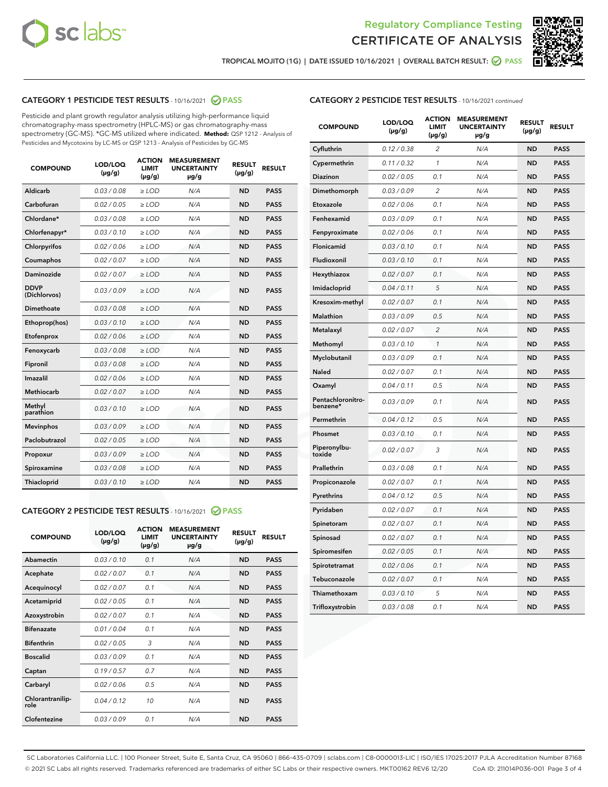



TROPICAL MOJITO (1G) | DATE ISSUED 10/16/2021 | OVERALL BATCH RESULT: ☑ PASS

# CATEGORY 1 PESTICIDE TEST RESULTS - 10/16/2021 @ PASS

Pesticide and plant growth regulator analysis utilizing high-performance liquid chromatography-mass spectrometry (HPLC-MS) or gas chromatography-mass spectrometry (GC-MS). \*GC-MS utilized where indicated. **Method:** QSP 1212 - Analysis of Pesticides and Mycotoxins by LC-MS or QSP 1213 - Analysis of Pesticides by GC-MS

| <b>COMPOUND</b>             | LOD/LOQ<br>$(\mu g/g)$ | <b>ACTION</b><br><b>LIMIT</b><br>$(\mu g/g)$ | <b>MEASUREMENT</b><br><b>UNCERTAINTY</b><br>µg/g | <b>RESULT</b><br>$(\mu g/g)$ | <b>RESULT</b> |
|-----------------------------|------------------------|----------------------------------------------|--------------------------------------------------|------------------------------|---------------|
| Aldicarb                    | 0.03 / 0.08            | $\geq$ LOD                                   | N/A                                              | <b>ND</b>                    | <b>PASS</b>   |
| Carbofuran                  | 0.02/0.05              | $\ge$ LOD                                    | N/A                                              | <b>ND</b>                    | <b>PASS</b>   |
| Chlordane*                  | 0.03 / 0.08            | $\ge$ LOD                                    | N/A                                              | <b>ND</b>                    | <b>PASS</b>   |
| Chlorfenapyr*               | 0.03/0.10              | $\ge$ LOD                                    | N/A                                              | <b>ND</b>                    | <b>PASS</b>   |
| Chlorpyrifos                | 0.02 / 0.06            | $\ge$ LOD                                    | N/A                                              | <b>ND</b>                    | <b>PASS</b>   |
| Coumaphos                   | 0.02 / 0.07            | $\ge$ LOD                                    | N/A                                              | <b>ND</b>                    | <b>PASS</b>   |
| Daminozide                  | 0.02 / 0.07            | $\ge$ LOD                                    | N/A                                              | <b>ND</b>                    | <b>PASS</b>   |
| <b>DDVP</b><br>(Dichlorvos) | 0.03/0.09              | $\ge$ LOD                                    | N/A                                              | <b>ND</b>                    | <b>PASS</b>   |
| Dimethoate                  | 0.03 / 0.08            | $\ge$ LOD                                    | N/A                                              | <b>ND</b>                    | <b>PASS</b>   |
| Ethoprop(hos)               | 0.03/0.10              | $\ge$ LOD                                    | N/A                                              | <b>ND</b>                    | <b>PASS</b>   |
| Etofenprox                  | 0.02 / 0.06            | $\ge$ LOD                                    | N/A                                              | <b>ND</b>                    | <b>PASS</b>   |
| Fenoxycarb                  | 0.03/0.08              | $\ge$ LOD                                    | N/A                                              | <b>ND</b>                    | <b>PASS</b>   |
| Fipronil                    | 0.03 / 0.08            | $\ge$ LOD                                    | N/A                                              | <b>ND</b>                    | <b>PASS</b>   |
| Imazalil                    | 0.02 / 0.06            | $\ge$ LOD                                    | N/A                                              | <b>ND</b>                    | <b>PASS</b>   |
| <b>Methiocarb</b>           | 0.02 / 0.07            | $\ge$ LOD                                    | N/A                                              | <b>ND</b>                    | <b>PASS</b>   |
| Methyl<br>parathion         | 0.03/0.10              | $\ge$ LOD                                    | N/A                                              | <b>ND</b>                    | <b>PASS</b>   |
| <b>Mevinphos</b>            | 0.03/0.09              | $\ge$ LOD                                    | N/A                                              | <b>ND</b>                    | <b>PASS</b>   |
| Paclobutrazol               | 0.02 / 0.05            | $\ge$ LOD                                    | N/A                                              | <b>ND</b>                    | <b>PASS</b>   |
| Propoxur                    | 0.03/0.09              | $\ge$ LOD                                    | N/A                                              | <b>ND</b>                    | <b>PASS</b>   |
| Spiroxamine                 | 0.03 / 0.08            | $\ge$ LOD                                    | N/A                                              | <b>ND</b>                    | <b>PASS</b>   |
| <b>Thiacloprid</b>          | 0.03/0.10              | $\ge$ LOD                                    | N/A                                              | <b>ND</b>                    | <b>PASS</b>   |
|                             |                        |                                              |                                                  |                              |               |

# CATEGORY 2 PESTICIDE TEST RESULTS - 10/16/2021 @ PASS

| <b>COMPOUND</b>          | LOD/LOQ<br>$(\mu g/g)$ | <b>ACTION</b><br>LIMIT<br>$(\mu g/g)$ | <b>MEASUREMENT</b><br><b>UNCERTAINTY</b><br>$\mu$ g/g | <b>RESULT</b><br>$(\mu g/g)$ | <b>RESULT</b> |
|--------------------------|------------------------|---------------------------------------|-------------------------------------------------------|------------------------------|---------------|
| Abamectin                | 0.03/0.10              | 0.1                                   | N/A                                                   | <b>ND</b>                    | <b>PASS</b>   |
| Acephate                 | 0.02/0.07              | 0.1                                   | N/A                                                   | <b>ND</b>                    | <b>PASS</b>   |
| Acequinocyl              | 0.02/0.07              | 0.1                                   | N/A                                                   | <b>ND</b>                    | <b>PASS</b>   |
| Acetamiprid              | 0.02/0.05              | 0.1                                   | N/A                                                   | <b>ND</b>                    | <b>PASS</b>   |
| Azoxystrobin             | 0.02/0.07              | 0.1                                   | N/A                                                   | <b>ND</b>                    | <b>PASS</b>   |
| <b>Bifenazate</b>        | 0.01/0.04              | 0.1                                   | N/A                                                   | <b>ND</b>                    | <b>PASS</b>   |
| <b>Bifenthrin</b>        | 0.02/0.05              | 3                                     | N/A                                                   | <b>ND</b>                    | <b>PASS</b>   |
| <b>Boscalid</b>          | 0.03/0.09              | 0.1                                   | N/A                                                   | <b>ND</b>                    | <b>PASS</b>   |
| Captan                   | 0.19/0.57              | 0.7                                   | N/A                                                   | <b>ND</b>                    | <b>PASS</b>   |
| Carbaryl                 | 0.02/0.06              | 0.5                                   | N/A                                                   | <b>ND</b>                    | <b>PASS</b>   |
| Chlorantranilip-<br>role | 0.04/0.12              | 10                                    | N/A                                                   | <b>ND</b>                    | <b>PASS</b>   |
| Clofentezine             | 0.03/0.09              | 0.1                                   | N/A                                                   | <b>ND</b>                    | <b>PASS</b>   |

# CATEGORY 2 PESTICIDE TEST RESULTS - 10/16/2021 continued

| <b>COMPOUND</b>               | LOD/LOQ<br>(µg/g) | <b>ACTION</b><br><b>LIMIT</b><br>$(\mu g/g)$ | <b>MEASUREMENT</b><br><b>UNCERTAINTY</b><br>µg/g | <b>RESULT</b><br>(µg/g) | <b>RESULT</b> |
|-------------------------------|-------------------|----------------------------------------------|--------------------------------------------------|-------------------------|---------------|
| Cyfluthrin                    | 0.12 / 0.38       | $\overline{c}$                               | N/A                                              | <b>ND</b>               | <b>PASS</b>   |
| Cypermethrin                  | 0.11 / 0.32       | 1                                            | N/A                                              | ND                      | <b>PASS</b>   |
| <b>Diazinon</b>               | 0.02 / 0.05       | 0.1                                          | N/A                                              | ND                      | <b>PASS</b>   |
| Dimethomorph                  | 0.03 / 0.09       | 2                                            | N/A                                              | ND                      | <b>PASS</b>   |
| Etoxazole                     | 0.02 / 0.06       | 0.1                                          | N/A                                              | ND                      | <b>PASS</b>   |
| Fenhexamid                    | 0.03 / 0.09       | 0.1                                          | N/A                                              | <b>ND</b>               | <b>PASS</b>   |
| Fenpyroximate                 | 0.02 / 0.06       | 0.1                                          | N/A                                              | ND                      | <b>PASS</b>   |
| Flonicamid                    | 0.03 / 0.10       | 0.1                                          | N/A                                              | ND                      | <b>PASS</b>   |
| Fludioxonil                   | 0.03 / 0.10       | 0.1                                          | N/A                                              | <b>ND</b>               | <b>PASS</b>   |
| Hexythiazox                   | 0.02 / 0.07       | 0.1                                          | N/A                                              | <b>ND</b>               | <b>PASS</b>   |
| Imidacloprid                  | 0.04 / 0.11       | 5                                            | N/A                                              | ND                      | <b>PASS</b>   |
| Kresoxim-methyl               | 0.02 / 0.07       | 0.1                                          | N/A                                              | <b>ND</b>               | <b>PASS</b>   |
| <b>Malathion</b>              | 0.03 / 0.09       | 0.5                                          | N/A                                              | <b>ND</b>               | <b>PASS</b>   |
| Metalaxyl                     | 0.02 / 0.07       | $\overline{c}$                               | N/A                                              | ND                      | <b>PASS</b>   |
| Methomyl                      | 0.03 / 0.10       | 1                                            | N/A                                              | <b>ND</b>               | <b>PASS</b>   |
| Myclobutanil                  | 0.03 / 0.09       | 0.1                                          | N/A                                              | ND                      | <b>PASS</b>   |
| Naled                         | 0.02 / 0.07       | 0.1                                          | N/A                                              | ND                      | <b>PASS</b>   |
| Oxamyl                        | 0.04 / 0.11       | 0.5                                          | N/A                                              | ND                      | <b>PASS</b>   |
| Pentachloronitro-<br>benzene* | 0.03 / 0.09       | 0.1                                          | N/A                                              | ND                      | <b>PASS</b>   |
| Permethrin                    | 0.04 / 0.12       | 0.5                                          | N/A                                              | ND                      | <b>PASS</b>   |
| Phosmet                       | 0.03 / 0.10       | 0.1                                          | N/A                                              | <b>ND</b>               | <b>PASS</b>   |
| Piperonylbu-<br>toxide        | 0.02 / 0.07       | 3                                            | N/A                                              | ND                      | <b>PASS</b>   |
| Prallethrin                   | 0.03 / 0.08       | 0.1                                          | N/A                                              | <b>ND</b>               | <b>PASS</b>   |
| Propiconazole                 | 0.02 / 0.07       | 0.1                                          | N/A                                              | ND                      | <b>PASS</b>   |
| Pyrethrins                    | 0.04 / 0.12       | 0.5                                          | N/A                                              | ND                      | <b>PASS</b>   |
| Pyridaben                     | 0.02 / 0.07       | 0.1                                          | N/A                                              | ND                      | <b>PASS</b>   |
| Spinetoram                    | 0.02 / 0.07       | 0.1                                          | N/A                                              | <b>ND</b>               | <b>PASS</b>   |
| Spinosad                      | 0.02 / 0.07       | 0.1                                          | N/A                                              | ND                      | <b>PASS</b>   |
| Spiromesifen                  | 0.02 / 0.05       | 0.1                                          | N/A                                              | <b>ND</b>               | <b>PASS</b>   |
| Spirotetramat                 | 0.02 / 0.06       | 0.1                                          | N/A                                              | ND                      | <b>PASS</b>   |
| Tebuconazole                  | 0.02 / 0.07       | 0.1                                          | N/A                                              | ND                      | <b>PASS</b>   |
| Thiamethoxam                  | 0.03 / 0.10       | 5                                            | N/A                                              | <b>ND</b>               | <b>PASS</b>   |
| Trifloxystrobin               | 0.03 / 0.08       | 0.1                                          | N/A                                              | <b>ND</b>               | <b>PASS</b>   |

SC Laboratories California LLC. | 100 Pioneer Street, Suite E, Santa Cruz, CA 95060 | 866-435-0709 | sclabs.com | C8-0000013-LIC | ISO/IES 17025:2017 PJLA Accreditation Number 87168 © 2021 SC Labs all rights reserved. Trademarks referenced are trademarks of either SC Labs or their respective owners. MKT00162 REV6 12/20 CoA ID: 211014P036-001 Page 3 of 4